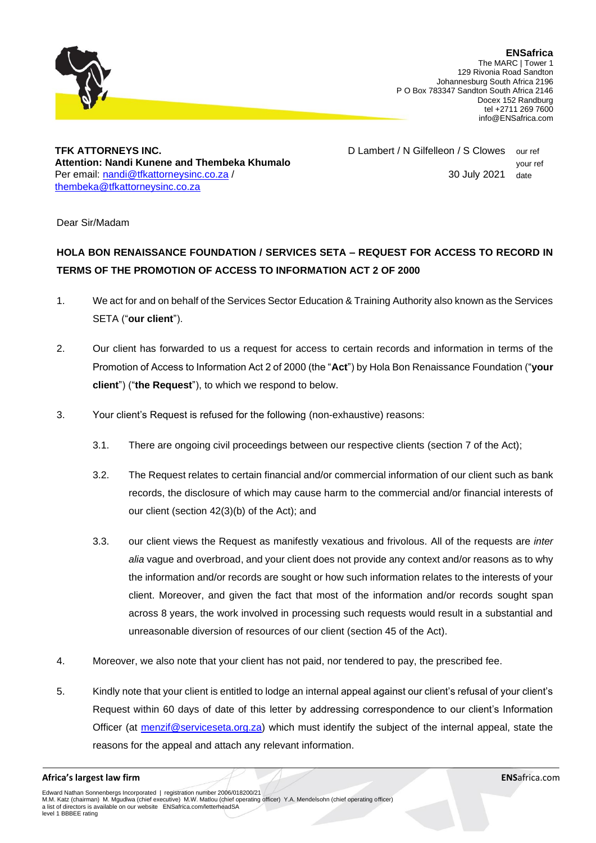

**TFK ATTORNEYS INC. Attention: Nandi Kunene and Thembeka Khumalo** Per email: [nandi@tfkattorneysinc.co.za](mailto:nandi@tfkattorneysinc.co.za%20/) / [thembeka@tfkattorneysinc.co.za](mailto:thembeka@tfkattorneysinc.co.za)

D Lambert / N Gilfelleon / S Clowes our ref your ref 30 July 2021 date

Dear Sir/Madam

## **HOLA BON RENAISSANCE FOUNDATION / SERVICES SETA – REQUEST FOR ACCESS TO RECORD IN TERMS OF THE PROMOTION OF ACCESS TO INFORMATION ACT 2 OF 2000**

- 1. We act for and on behalf of the Services Sector Education & Training Authority also known as the Services SETA ("**our client**").
- 2. Our client has forwarded to us a request for access to certain records and information in terms of the Promotion of Access to Information Act 2 of 2000 (the "**Act**") by Hola Bon Renaissance Foundation ("**your client**") ("**the Request**"), to which we respond to below.
- 3. Your client's Request is refused for the following (non-exhaustive) reasons:
	- 3.1. There are ongoing civil proceedings between our respective clients (section 7 of the Act);
	- 3.2. The Request relates to certain financial and/or commercial information of our client such as bank records, the disclosure of which may cause harm to the commercial and/or financial interests of our client (section 42(3)(b) of the Act); and
	- 3.3. our client views the Request as manifestly vexatious and frivolous. All of the requests are *inter alia* vague and overbroad, and your client does not provide any context and/or reasons as to why the information and/or records are sought or how such information relates to the interests of your client. Moreover, and given the fact that most of the information and/or records sought span across 8 years, the work involved in processing such requests would result in a substantial and unreasonable diversion of resources of our client (section 45 of the Act).
- 4. Moreover, we also note that your client has not paid, nor tendered to pay, the prescribed fee.
- 5. Kindly note that your client is entitled to lodge an internal appeal against our client's refusal of your client's Request within 60 days of date of this letter by addressing correspondence to our client's Information Officer (at [menzif@serviceseta.org.za\)](mailto:menzif@serviceseta.org.za) which must identify the subject of the internal appeal, state the reasons for the appeal and attach any relevant information.

## **Africa's largest law firm ENS**africa.com

Edward Nathan Sonnenbergs Incorporated | registration number 2006/018200/21 M.M. Katz (chairman) M. Mgudlwa (chief executive) M.W. Matlou (chief operating officer) Y.A. Mendelsohn (chief operating officer) a list of directors is available on our website ENSafrica.com/letterheadSA level 1 BBBEE rating